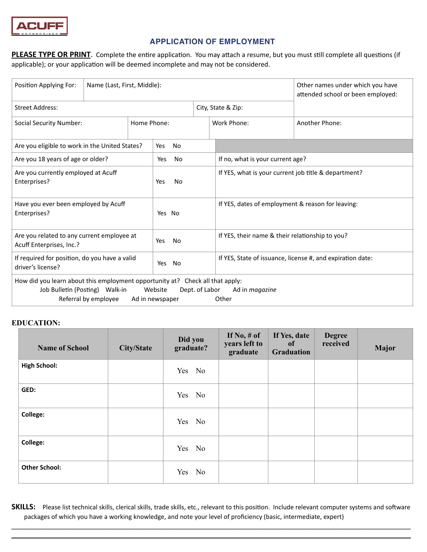

# **APPLICATION OF EMPLOYMENT**

PLEASE TYPE OR PRINT. Complete the entire application. You may attach a resume, but you must still complete all questions (if applicable); or your application will be deemed incomplete and may not be considered.

| Position Applying For:                                                                                                                  | Name (Last, First, Middle): |                  |                            | Other names under which you have<br>attended school or been employed: |                                  |  |
|-----------------------------------------------------------------------------------------------------------------------------------------|-----------------------------|------------------|----------------------------|-----------------------------------------------------------------------|----------------------------------|--|
| <b>Street Address:</b>                                                                                                                  |                             |                  | City, State & Zip:         |                                                                       |                                  |  |
| <b>Social Security Number:</b><br>Home Phone:                                                                                           |                             |                  |                            | Work Phone:                                                           | Another Phone:                   |  |
| Are you eligible to work in the United States?                                                                                          |                             |                  | No<br>Yes                  |                                                                       |                                  |  |
| Are you 18 years of age or older?                                                                                                       |                             |                  | No<br>Yes                  |                                                                       | If no, what is your current age? |  |
| Are you currently employed at Acuff<br>Enterprises?                                                                                     |                             | Yes<br><b>No</b> |                            | If YES, what is your current job title & department?                  |                                  |  |
| Have you ever been employed by Acuff<br>Enterprises?                                                                                    |                             | Yes No           |                            | If YES, dates of employment & reason for leaving:                     |                                  |  |
| Are you related to any current employee at<br>Acuff Enterprises, Inc.?                                                                  |                             | Yes<br>No        |                            | If YES, their name & their relationship to you?                       |                                  |  |
| If required for position, do you have a valid<br>driver's license?                                                                      |                             | No<br>Yes        |                            | If YES, State of issuance, license #, and expiration date:            |                                  |  |
| How did you learn about this employment opportunity at? Check all that apply:<br>Job Bulletin (Posting) Walk-in<br>Referral by employee |                             |                  | Website<br>Ad in newspaper | Dept. of Labor                                                        | Ad in <i>magazine</i><br>Other   |  |

### **EDUCATION:**

| <b>Name of School</b> | <b>City/State</b> | Did you<br>graduate? | If $No, \#$ of<br>years left to<br>graduate | If Yes, date<br><sub>of</sub><br><b>Graduation</b> | <b>Degree</b><br>received | <b>Major</b> |
|-----------------------|-------------------|----------------------|---------------------------------------------|----------------------------------------------------|---------------------------|--------------|
| <b>High School:</b>   |                   | Yes No               |                                             |                                                    |                           |              |
| GED:                  |                   | Yes No               |                                             |                                                    |                           |              |
| College:              |                   | Yes No               |                                             |                                                    |                           |              |
| College:              |                   | Yes No               |                                             |                                                    |                           |              |
| <b>Other School:</b>  |                   | Yes No               |                                             |                                                    |                           |              |

SKILLS: Please list technical skills, clerical skills, trade skills, etc., relevant to this position. Include relevant computer systems and software packages of which you have a working knowledge, and note your level of proficiency (basic, intermediate, expert)

\_\_\_\_\_\_\_\_\_\_\_\_\_\_\_\_\_\_\_\_\_\_\_\_\_\_\_\_\_\_\_\_\_\_\_\_\_\_\_\_\_\_\_\_\_\_\_\_\_\_\_\_\_\_\_\_\_\_\_\_\_\_\_\_\_\_\_\_\_\_\_\_\_\_\_\_\_\_\_\_\_\_\_\_\_\_\_\_\_\_\_\_\_\_\_\_\_\_\_\_\_\_\_\_\_\_\_\_\_\_\_\_\_\_\_  $\_$  , and the set of the set of the set of the set of the set of the set of the set of the set of the set of the set of the set of the set of the set of the set of the set of the set of the set of the set of the set of th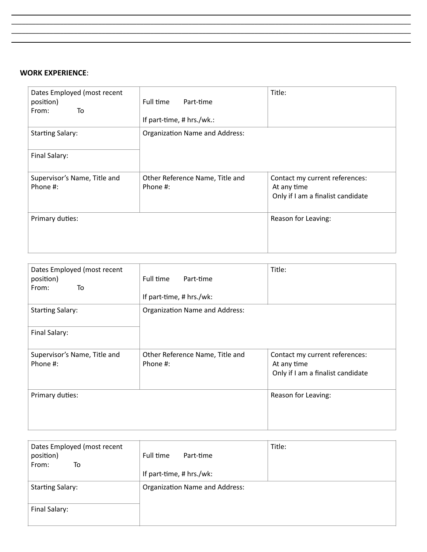# **WORK EXPERIENCE**:

| Dates Employed (most recent<br>position)<br>To<br>From: | Full time<br>Part-time<br>If part-time, # hrs./wk.: | Title:                                                                             |
|---------------------------------------------------------|-----------------------------------------------------|------------------------------------------------------------------------------------|
| <b>Starting Salary:</b>                                 | <b>Organization Name and Address:</b>               |                                                                                    |
| Final Salary:                                           |                                                     |                                                                                    |
| Supervisor's Name, Title and<br>Phone #:                | Other Reference Name, Title and<br>Phone #:         | Contact my current references:<br>At any time<br>Only if I am a finalist candidate |
| Primary duties:                                         |                                                     | Reason for Leaving:                                                                |

\_\_\_\_\_\_\_\_\_\_\_\_\_\_\_\_\_\_\_\_\_\_\_\_\_\_\_\_\_\_\_\_\_\_\_\_\_\_\_\_\_\_\_\_\_\_\_\_\_\_\_\_\_\_\_\_\_\_\_\_\_\_\_\_\_\_\_\_\_\_\_\_\_\_\_\_\_\_\_\_\_\_\_\_\_\_\_\_\_\_\_\_\_\_\_\_\_\_\_\_\_\_\_\_\_\_\_\_\_\_\_\_\_\_\_  $\_$  , and the set of the set of the set of the set of the set of the set of the set of the set of the set of the set of the set of the set of the set of the set of the set of the set of the set of the set of the set of th \_\_\_\_\_\_\_\_\_\_\_\_\_\_\_\_\_\_\_\_\_\_\_\_\_\_\_\_\_\_\_\_\_\_\_\_\_\_\_\_\_\_\_\_\_\_\_\_\_\_\_\_\_\_\_\_\_\_\_\_\_\_\_\_\_\_\_\_\_\_\_\_\_\_\_\_\_\_\_\_\_\_\_\_\_\_\_\_\_\_\_\_\_\_\_\_\_\_\_\_\_\_\_\_\_\_\_\_\_\_\_\_\_\_\_ \_\_\_\_\_\_\_\_\_\_\_\_\_\_\_\_\_\_\_\_\_\_\_\_\_\_\_\_\_\_\_\_\_\_\_\_\_\_\_\_\_\_\_\_\_\_\_\_\_\_\_\_\_\_\_\_\_\_\_\_\_\_\_\_\_\_\_\_\_\_\_\_\_\_\_\_\_\_\_\_\_\_\_\_\_\_\_\_\_\_\_\_\_\_\_\_\_\_\_\_\_\_\_\_\_\_\_\_\_\_\_\_\_\_\_

| Dates Employed (most recent<br>position)<br>From:<br>To | Full time<br>Part-time<br>If part-time, # hrs./wk: | Title:                                                                             |
|---------------------------------------------------------|----------------------------------------------------|------------------------------------------------------------------------------------|
| <b>Starting Salary:</b>                                 | Organization Name and Address:                     |                                                                                    |
| Final Salary:                                           |                                                    |                                                                                    |
| Supervisor's Name, Title and<br>Phone #:                | Other Reference Name, Title and<br>Phone #:        | Contact my current references:<br>At any time<br>Only if I am a finalist candidate |
| Primary duties:                                         |                                                    | Reason for Leaving:                                                                |

| Dates Employed (most recent<br>position)<br>From:<br>To | Full time<br>Part-time                | Title: |
|---------------------------------------------------------|---------------------------------------|--------|
|                                                         | If part-time, $# hrs./wk$ :           |        |
| <b>Starting Salary:</b>                                 | <b>Organization Name and Address:</b> |        |
| Final Salary:                                           |                                       |        |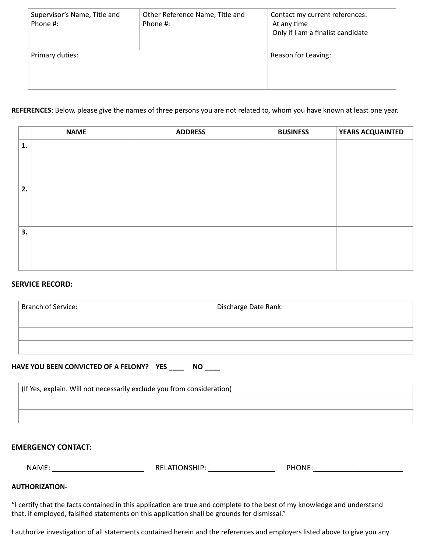| Supervisor's Name, Title and<br>Phone #: | Other Reference Name, Title and<br>Phone #: | Contact my current references:<br>At any time<br>Only if I am a finalist candidate |
|------------------------------------------|---------------------------------------------|------------------------------------------------------------------------------------|
| Primary duties:                          |                                             | Reason for Leaving:                                                                |

### **REFERENCES**: Below, please give the names of three persons you are not related to, whom you have known at least one year.

|    | <b>NAME</b> | <b>ADDRESS</b> | <b>BUSINESS</b> | <b>YEARS ACQUAINTED</b> |
|----|-------------|----------------|-----------------|-------------------------|
| 1. |             |                |                 |                         |
|    |             |                |                 |                         |
|    |             |                |                 |                         |
|    |             |                |                 |                         |
| 2. |             |                |                 |                         |
|    |             |                |                 |                         |
|    |             |                |                 |                         |
|    |             |                |                 |                         |
| 3. |             |                |                 |                         |
|    |             |                |                 |                         |
|    |             |                |                 |                         |
|    |             |                |                 |                         |

### **SERVICE RECORD:**

| Branch of Service: | Discharge Date Rank: |
|--------------------|----------------------|
|                    |                      |
|                    |                      |
|                    |                      |

### **HAVE YOU BEEN CONVICTED OF A FELONY? YES \_\_\_\_ NO \_\_\_\_**

| (If Yes, explain. Will not necessarily exclude you from consideration) |  |  |  |
|------------------------------------------------------------------------|--|--|--|
|                                                                        |  |  |  |
|                                                                        |  |  |  |

# **EMERGENCY CONTACT:**

| .<br>NAMF<br>. <u>.</u> | DЕ<br>, מר<br>.,<br><br>৲∟ | - - - -<br>nn.<br>ור<br>,,, |
|-------------------------|----------------------------|-----------------------------|
|-------------------------|----------------------------|-----------------------------|

# **AUTHORIZATION-**

"I certify that the facts contained in this application are true and complete to the best of my knowledge and understand that, if employed, falsified statements on this application shall be grounds for dismissal."

I authorize investigation of all statements contained herein and the references and employers listed above to give you any